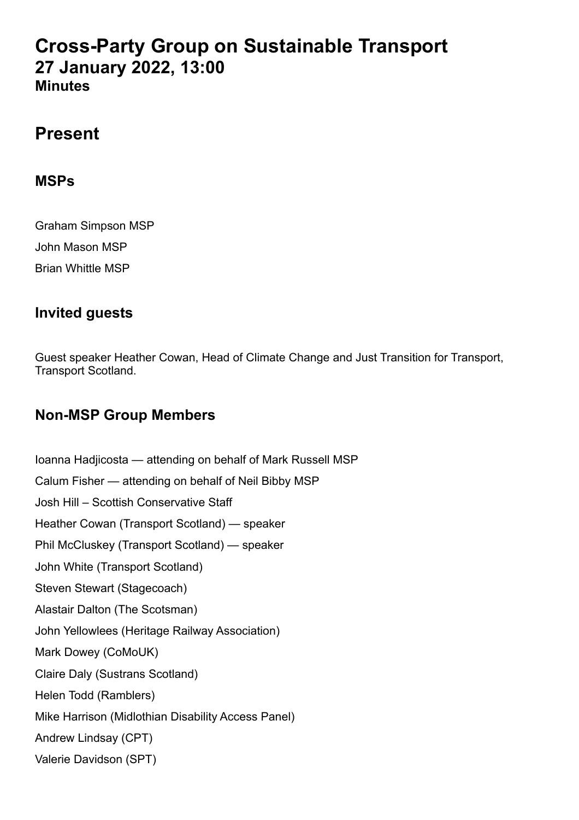# **Cross-Party Group on Sustainable Transport 27 January 2022, 13:00 Minutes**

# **Present**

### **MSPs**

Graham Simpson MSP John Mason MSP Brian Whittle MSP

## **Invited guests**

Guest speaker Heather Cowan, Head of Climate Change and Just Transition for Transport, Transport Scotland.

## **Non-MSP Group Members**

Ioanna Hadjicosta — attending on behalf of Mark Russell MSP Calum Fisher — attending on behalf of Neil Bibby MSP Josh Hill – Scottish Conservative Staff Heather Cowan (Transport Scotland) — speaker Phil McCluskey (Transport Scotland) — speaker John White (Transport Scotland) Steven Stewart (Stagecoach) Alastair Dalton (The Scotsman) John Yellowlees (Heritage Railway Association) Mark Dowey (CoMoUK) Claire Daly (Sustrans Scotland) Helen Todd (Ramblers) Mike Harrison (Midlothian Disability Access Panel) Andrew Lindsay (CPT) Valerie Davidson (SPT)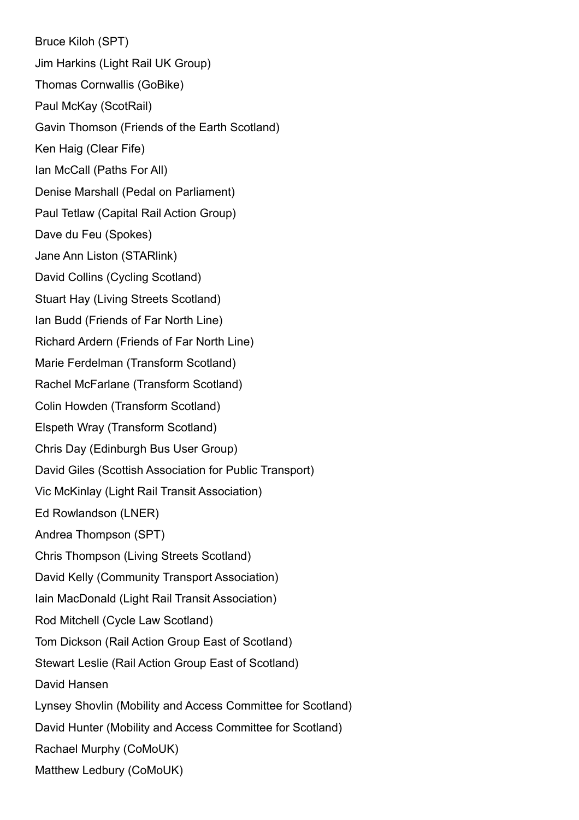Bruce Kiloh (SPT) Jim Harkins (Light Rail UK Group) Thomas Cornwallis (GoBike) Paul McKay (ScotRail) Gavin Thomson (Friends of the Earth Scotland) Ken Haig (Clear Fife) Ian McCall (Paths For All) Denise Marshall (Pedal on Parliament) Paul Tetlaw (Capital Rail Action Group) Dave du Feu (Spokes) Jane Ann Liston (STARlink) David Collins (Cycling Scotland) Stuart Hay (Living Streets Scotland) Ian Budd (Friends of Far North Line) Richard Ardern (Friends of Far North Line) Marie Ferdelman (Transform Scotland) Rachel McFarlane (Transform Scotland) Colin Howden (Transform Scotland) Elspeth Wray (Transform Scotland) Chris Day (Edinburgh Bus User Group) David Giles (Scottish Association for Public Transport) Vic McKinlay (Light Rail Transit Association) Ed Rowlandson (LNER) Andrea Thompson (SPT) Chris Thompson (Living Streets Scotland) David Kelly (Community Transport Association) Iain MacDonald (Light Rail Transit Association) Rod Mitchell (Cycle Law Scotland) Tom Dickson (Rail Action Group East of Scotland) Stewart Leslie (Rail Action Group East of Scotland) David Hansen Lynsey Shovlin (Mobility and Access Committee for Scotland) David Hunter (Mobility and Access Committee for Scotland) Rachael Murphy (CoMoUK) Matthew Ledbury (CoMoUK)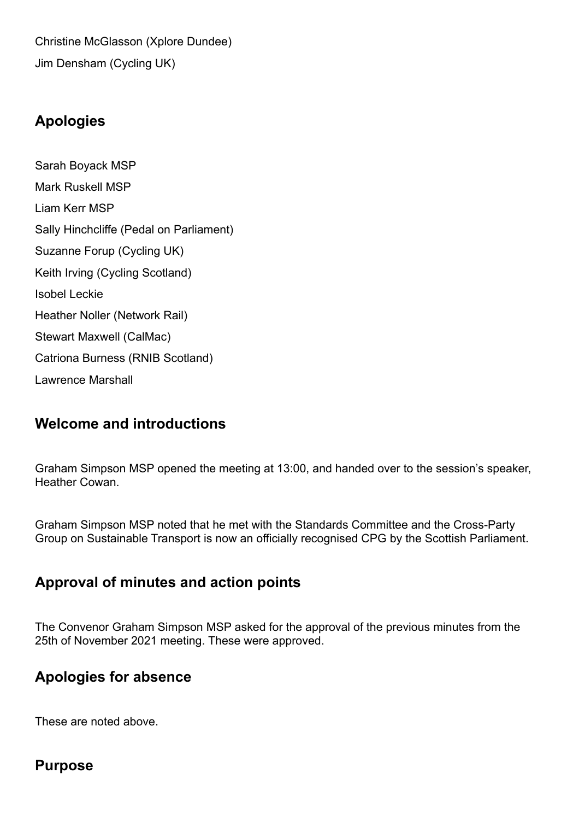Christine McGlasson (Xplore Dundee) Jim Densham (Cycling UK)

## **Apologies**

Sarah Boyack MSP Mark Ruskell MSP Liam Kerr MSP Sally Hinchcliffe (Pedal on Parliament) Suzanne Forup (Cycling UK) Keith Irving (Cycling Scotland) Isobel Leckie Heather Noller (Network Rail) Stewart Maxwell (CalMac) Catriona Burness (RNIB Scotland) Lawrence Marshall

# **Welcome and introductions**

Graham Simpson MSP opened the meeting at 13:00, and handed over to the session's speaker, Heather Cowan.

Graham Simpson MSP noted that he met with the Standards Committee and the Cross-Party Group on Sustainable Transport is now an officially recognised CPG by the Scottish Parliament.

### **Approval of minutes and action points**

The Convenor Graham Simpson MSP asked for the approval of the previous minutes from the 25th of November 2021 meeting. These were approved.

## **Apologies for absence**

These are noted above.

### **Purpose**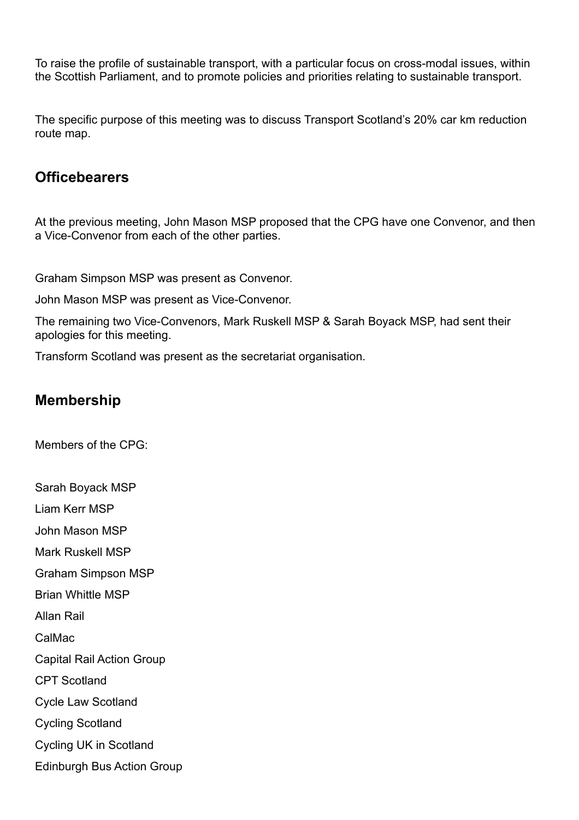To raise the profile of sustainable transport, with a particular focus on cross-modal issues, within the Scottish Parliament, and to promote policies and priorities relating to sustainable transport.

The specific purpose of this meeting was to discuss Transport Scotland's 20% car km reduction route map.

### **Officebearers**

At the previous meeting, John Mason MSP proposed that the CPG have one Convenor, and then a Vice-Convenor from each of the other parties.

Graham Simpson MSP was present as Convenor.

John Mason MSP was present as Vice-Convenor.

The remaining two Vice-Convenors, Mark Ruskell MSP & Sarah Boyack MSP, had sent their apologies for this meeting.

Transform Scotland was present as the secretariat organisation.

### **Membership**

Members of the CPG:

Sarah Boyack MSP Liam Kerr MSP John Mason MSP Mark Ruskell MSP Graham Simpson MSP Brian Whittle MSP Allan Rail CalMac Capital Rail Action Group CPT Scotland Cycle Law Scotland Cycling Scotland Cycling UK in Scotland Edinburgh Bus Action Group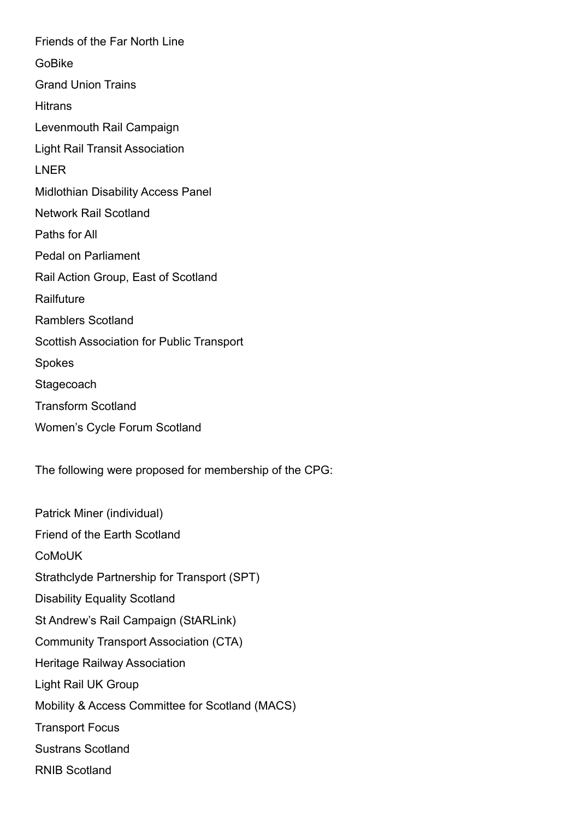Friends of the Far North Line GoBike Grand Union Trains **Hitrans** Levenmouth Rail Campaign Light Rail Transit Association LNER Midlothian Disability Access Panel Network Rail Scotland Paths for All Pedal on Parliament Rail Action Group, East of Scotland **Railfuture** Ramblers Scotland Scottish Association for Public Transport Spokes **Stagecoach** Transform Scotland Women's Cycle Forum Scotland

The following were proposed for membership of the CPG:

Patrick Miner (individual) Friend of the Earth Scotland **CoMoUK** Strathclyde Partnership for Transport (SPT) Disability Equality Scotland St Andrew's Rail Campaign (StARLink) Community Transport Association (CTA) Heritage Railway Association Light Rail UK Group Mobility & Access Committee for Scotland (MACS) Transport Focus Sustrans Scotland RNIB Scotland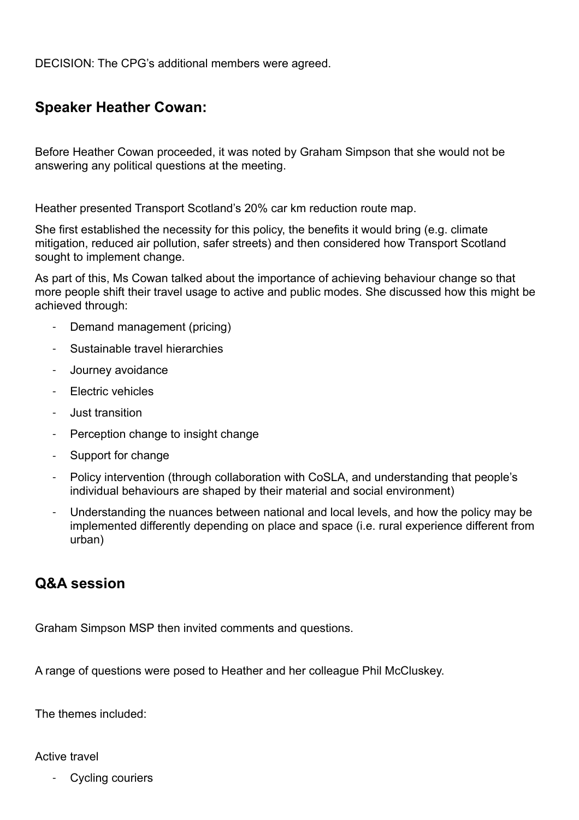DECISION: The CPG's additional members were agreed.

## **Speaker Heather Cowan:**

Before Heather Cowan proceeded, it was noted by Graham Simpson that she would not be answering any political questions at the meeting.

Heather presented Transport Scotland's 20% car km reduction route map.

She first established the necessity for this policy, the benefits it would bring (e.g. climate mitigation, reduced air pollution, safer streets) and then considered how Transport Scotland sought to implement change.

As part of this, Ms Cowan talked about the importance of achieving behaviour change so that more people shift their travel usage to active and public modes. She discussed how this might be achieved through:

- Demand management (pricing)
- Sustainable travel hierarchies
- Journey avoidance
- Electric vehicles
- Just transition
- Perception change to insight change
- Support for change
- Policy intervention (through collaboration with CoSLA, and understanding that people's individual behaviours are shaped by their material and social environment)
- Understanding the nuances between national and local levels, and how the policy may be implemented differently depending on place and space (i.e. rural experience different from urban)

#### **Q&A session**

Graham Simpson MSP then invited comments and questions.

A range of questions were posed to Heather and her colleague Phil McCluskey.

The themes included:

Active travel

Cycling couriers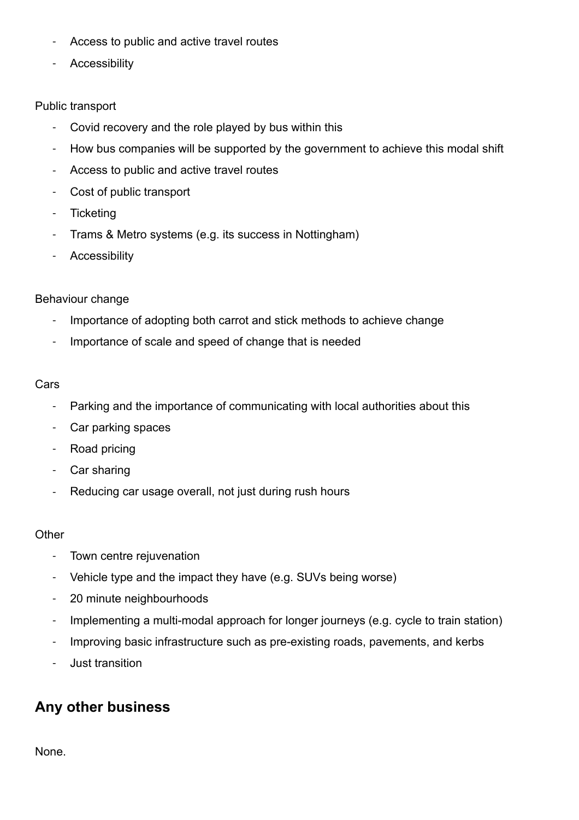- Access to public and active travel routes
- **Accessibility**

#### Public transport

- Covid recovery and the role played by bus within this
- How bus companies will be supported by the government to achieve this modal shift
- Access to public and active travel routes
- Cost of public transport
- **Ticketing**
- Trams & Metro systems (e.g. its success in Nottingham)
- **Accessibility**

#### Behaviour change

- Importance of adopting both carrot and stick methods to achieve change
- Importance of scale and speed of change that is needed

#### Cars

- Parking and the importance of communicating with local authorities about this
- Car parking spaces
- Road pricing
- Car sharing
- Reducing car usage overall, not just during rush hours

#### **Other**

- Town centre rejuvenation
- Vehicle type and the impact they have (e.g. SUVs being worse)
- 20 minute neighbourhoods
- Implementing a multi-modal approach for longer journeys (e.g. cycle to train station)
- Improving basic infrastructure such as pre-existing roads, pavements, and kerbs
- Just transition

## **Any other business**

None.